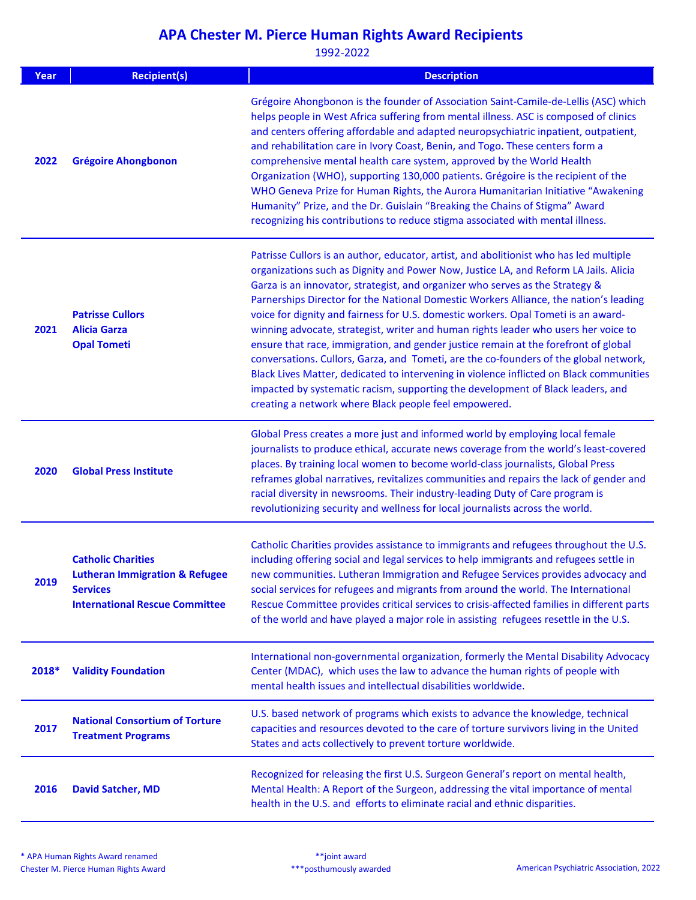| Year  | <b>Recipient(s)</b>                                                                                                                | <b>Description</b>                                                                                                                                                                                                                                                                                                                                                                                                                                                                                                                                                                                                                                                                                                                                                                                                                                                                                                                                           |
|-------|------------------------------------------------------------------------------------------------------------------------------------|--------------------------------------------------------------------------------------------------------------------------------------------------------------------------------------------------------------------------------------------------------------------------------------------------------------------------------------------------------------------------------------------------------------------------------------------------------------------------------------------------------------------------------------------------------------------------------------------------------------------------------------------------------------------------------------------------------------------------------------------------------------------------------------------------------------------------------------------------------------------------------------------------------------------------------------------------------------|
| 2022  | <b>Grégoire Ahongbonon</b>                                                                                                         | Grégoire Ahongbonon is the founder of Association Saint-Camile-de-Lellis (ASC) which<br>helps people in West Africa suffering from mental illness. ASC is composed of clinics<br>and centers offering affordable and adapted neuropsychiatric inpatient, outpatient,<br>and rehabilitation care in Ivory Coast, Benin, and Togo. These centers form a<br>comprehensive mental health care system, approved by the World Health<br>Organization (WHO), supporting 130,000 patients. Grégoire is the recipient of the<br>WHO Geneva Prize for Human Rights, the Aurora Humanitarian Initiative "Awakening<br>Humanity" Prize, and the Dr. Guislain "Breaking the Chains of Stigma" Award<br>recognizing his contributions to reduce stigma associated with mental illness.                                                                                                                                                                                     |
| 2021  | <b>Patrisse Cullors</b><br><b>Alicia Garza</b><br><b>Opal Tometi</b>                                                               | Patrisse Cullors is an author, educator, artist, and abolitionist who has led multiple<br>organizations such as Dignity and Power Now, Justice LA, and Reform LA Jails. Alicia<br>Garza is an innovator, strategist, and organizer who serves as the Strategy &<br>Parnerships Director for the National Domestic Workers Alliance, the nation's leading<br>voice for dignity and fairness for U.S. domestic workers. Opal Tometi is an award-<br>winning advocate, strategist, writer and human rights leader who users her voice to<br>ensure that race, immigration, and gender justice remain at the forefront of global<br>conversations. Cullors, Garza, and Tometi, are the co-founders of the global network,<br>Black Lives Matter, dedicated to intervening in violence inflicted on Black communities<br>impacted by systematic racism, supporting the development of Black leaders, and<br>creating a network where Black people feel empowered. |
| 2020  | <b>Global Press Institute</b>                                                                                                      | Global Press creates a more just and informed world by employing local female<br>journalists to produce ethical, accurate news coverage from the world's least-covered<br>places. By training local women to become world-class journalists, Global Press<br>reframes global narratives, revitalizes communities and repairs the lack of gender and<br>racial diversity in newsrooms. Their industry-leading Duty of Care program is<br>revolutionizing security and wellness for local journalists across the world.                                                                                                                                                                                                                                                                                                                                                                                                                                        |
| 2019  | <b>Catholic Charities</b><br><b>Lutheran Immigration &amp; Refugee</b><br><b>Services</b><br><b>International Rescue Committee</b> | Catholic Charities provides assistance to immigrants and refugees throughout the U.S.<br>including offering social and legal services to help immigrants and refugees settle in<br>new communities. Lutheran Immigration and Refugee Services provides advocacy and<br>social services for refugees and migrants from around the world. The International<br>Rescue Committee provides critical services to crisis-affected families in different parts<br>of the world and have played a major role in assisting refugees resettle in the U.S.                                                                                                                                                                                                                                                                                                                                                                                                              |
| 2018* | <b>Validity Foundation</b>                                                                                                         | International non-governmental organization, formerly the Mental Disability Advocacy<br>Center (MDAC), which uses the law to advance the human rights of people with<br>mental health issues and intellectual disabilities worldwide.                                                                                                                                                                                                                                                                                                                                                                                                                                                                                                                                                                                                                                                                                                                        |
| 2017  | <b>National Consortium of Torture</b><br><b>Treatment Programs</b>                                                                 | U.S. based network of programs which exists to advance the knowledge, technical<br>capacities and resources devoted to the care of torture survivors living in the United<br>States and acts collectively to prevent torture worldwide.                                                                                                                                                                                                                                                                                                                                                                                                                                                                                                                                                                                                                                                                                                                      |
| 2016  | <b>David Satcher, MD</b>                                                                                                           | Recognized for releasing the first U.S. Surgeon General's report on mental health,<br>Mental Health: A Report of the Surgeon, addressing the vital importance of mental<br>health in the U.S. and efforts to eliminate racial and ethnic disparities.                                                                                                                                                                                                                                                                                                                                                                                                                                                                                                                                                                                                                                                                                                        |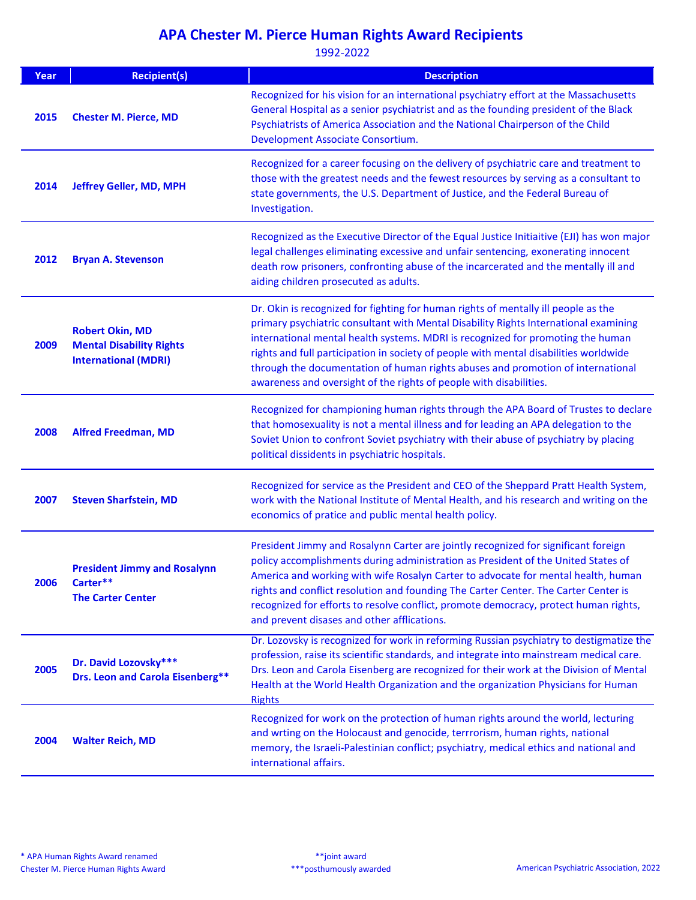| Year | <b>Recipient(s)</b>                                                                      | <b>Description</b>                                                                                                                                                                                                                                                                                                                                                                                                                                                                                              |
|------|------------------------------------------------------------------------------------------|-----------------------------------------------------------------------------------------------------------------------------------------------------------------------------------------------------------------------------------------------------------------------------------------------------------------------------------------------------------------------------------------------------------------------------------------------------------------------------------------------------------------|
| 2015 | <b>Chester M. Pierce, MD</b>                                                             | Recognized for his vision for an international psychiatry effort at the Massachusetts<br>General Hospital as a senior psychiatrist and as the founding president of the Black<br>Psychiatrists of America Association and the National Chairperson of the Child<br>Development Associate Consortium.                                                                                                                                                                                                            |
| 2014 | Jeffrey Geller, MD, MPH                                                                  | Recognized for a career focusing on the delivery of psychiatric care and treatment to<br>those with the greatest needs and the fewest resources by serving as a consultant to<br>state governments, the U.S. Department of Justice, and the Federal Bureau of<br>Investigation.                                                                                                                                                                                                                                 |
| 2012 | <b>Bryan A. Stevenson</b>                                                                | Recognized as the Executive Director of the Equal Justice Initiaitive (EJI) has won major<br>legal challenges eliminating excessive and unfair sentencing, exonerating innocent<br>death row prisoners, confronting abuse of the incarcerated and the mentally ill and<br>aiding children prosecuted as adults.                                                                                                                                                                                                 |
| 2009 | <b>Robert Okin, MD</b><br><b>Mental Disability Rights</b><br><b>International (MDRI)</b> | Dr. Okin is recognized for fighting for human rights of mentally ill people as the<br>primary psychiatric consultant with Mental Disability Rights International examining<br>international mental health systems. MDRI is recognized for promoting the human<br>rights and full participation in society of people with mental disabilities worldwide<br>through the documentation of human rights abuses and promotion of international<br>awareness and oversight of the rights of people with disabilities. |
| 2008 | <b>Alfred Freedman, MD</b>                                                               | Recognized for championing human rights through the APA Board of Trustes to declare<br>that homosexuality is not a mental illness and for leading an APA delegation to the<br>Soviet Union to confront Soviet psychiatry with their abuse of psychiatry by placing<br>political dissidents in psychiatric hospitals.                                                                                                                                                                                            |
| 2007 | <b>Steven Sharfstein, MD</b>                                                             | Recognized for service as the President and CEO of the Sheppard Pratt Health System,<br>work with the National Institute of Mental Health, and his research and writing on the<br>economics of pratice and public mental health policy.                                                                                                                                                                                                                                                                         |
| 2006 | <b>President Jimmy and Rosalynn</b><br>Carter**<br><b>The Carter Center</b>              | President Jimmy and Rosalynn Carter are jointly recognized for significant foreign<br>policy accomplishments during administration as President of the United States of<br>America and working with wife Rosalyn Carter to advocate for mental health, human<br>rights and conflict resolution and founding The Carter Center. The Carter Center is<br>recognized for efforts to resolve conflict, promote democracy, protect human rights,<br>and prevent disases and other afflications.                      |
| 2005 | Dr. David Lozovsky***<br>Drs. Leon and Carola Eisenberg**                                | Dr. Lozovsky is recognized for work in reforming Russian psychiatry to destigmatize the<br>profession, raise its scientific standards, and integrate into mainstream medical care.<br>Drs. Leon and Carola Eisenberg are recognized for their work at the Division of Mental<br>Health at the World Health Organization and the organization Physicians for Human<br><b>Rights</b>                                                                                                                              |
| 2004 | <b>Walter Reich, MD</b>                                                                  | Recognized for work on the protection of human rights around the world, lecturing<br>and wrting on the Holocaust and genocide, terrrorism, human rights, national<br>memory, the Israeli-Palestinian conflict; psychiatry, medical ethics and national and<br>international affairs.                                                                                                                                                                                                                            |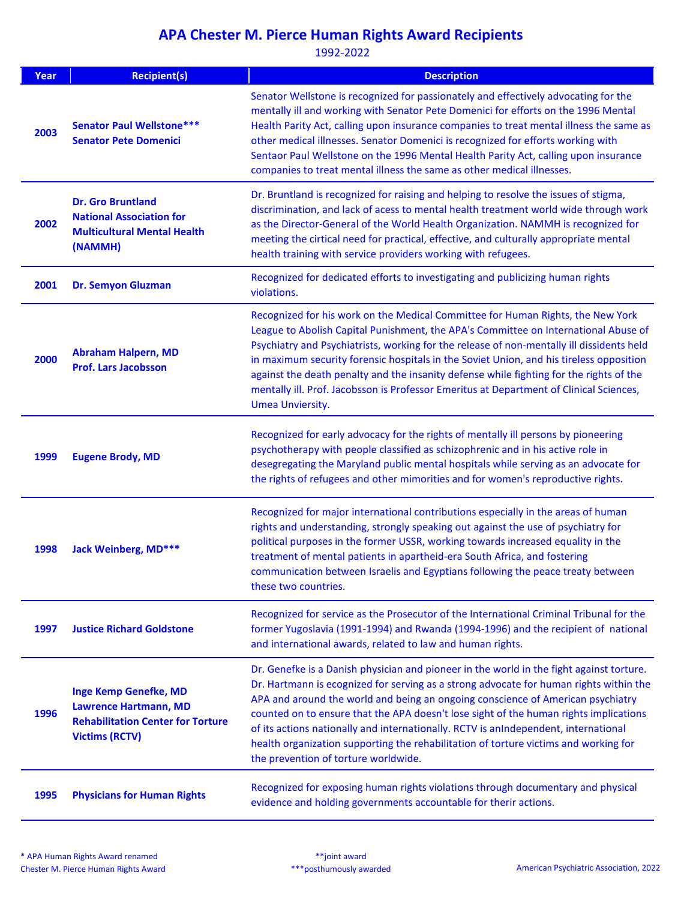| Year | <b>Recipient(s)</b>                                                                                                               | <b>Description</b>                                                                                                                                                                                                                                                                                                                                                                                                                                                                                                                                                                    |
|------|-----------------------------------------------------------------------------------------------------------------------------------|---------------------------------------------------------------------------------------------------------------------------------------------------------------------------------------------------------------------------------------------------------------------------------------------------------------------------------------------------------------------------------------------------------------------------------------------------------------------------------------------------------------------------------------------------------------------------------------|
| 2003 | <b>Senator Paul Wellstone ***</b><br><b>Senator Pete Domenici</b>                                                                 | Senator Wellstone is recognized for passionately and effectively advocating for the<br>mentally ill and working with Senator Pete Domenici for efforts on the 1996 Mental<br>Health Parity Act, calling upon insurance companies to treat mental illness the same as<br>other medical illnesses. Senator Domenici is recognized for efforts working with<br>Sentaor Paul Wellstone on the 1996 Mental Health Parity Act, calling upon insurance<br>companies to treat mental illness the same as other medical illnesses.                                                             |
| 2002 | <b>Dr. Gro Bruntland</b><br><b>National Association for</b><br><b>Multicultural Mental Health</b><br>(NAMMH)                      | Dr. Bruntland is recognized for raising and helping to resolve the issues of stigma,<br>discrimination, and lack of acess to mental health treatment world wide through work<br>as the Director-General of the World Health Organization. NAMMH is recognized for<br>meeting the cirtical need for practical, effective, and culturally appropriate mental<br>health training with service providers working with refugees.                                                                                                                                                           |
| 2001 | <b>Dr. Semyon Gluzman</b>                                                                                                         | Recognized for dedicated efforts to investigating and publicizing human rights<br>violations.                                                                                                                                                                                                                                                                                                                                                                                                                                                                                         |
| 2000 | <b>Abraham Halpern, MD</b><br><b>Prof. Lars Jacobsson</b>                                                                         | Recognized for his work on the Medical Committee for Human Rights, the New York<br>League to Abolish Capital Punishment, the APA's Committee on International Abuse of<br>Psychiatry and Psychiatrists, working for the release of non-mentally ill dissidents held<br>in maximum security forensic hospitals in the Soviet Union, and his tireless opposition<br>against the death penalty and the insanity defense while fighting for the rights of the<br>mentally ill. Prof. Jacobsson is Professor Emeritus at Department of Clinical Sciences,<br>Umea Unviersity.              |
| 1999 | <b>Eugene Brody, MD</b>                                                                                                           | Recognized for early advocacy for the rights of mentally ill persons by pioneering<br>psychotherapy with people classified as schizophrenic and in his active role in<br>desegregating the Maryland public mental hospitals while serving as an advocate for<br>the rights of refugees and other mimorities and for women's reproductive rights.                                                                                                                                                                                                                                      |
| 1998 | <b>Jack Weinberg, MD***</b>                                                                                                       | Recognized for major international contributions especially in the areas of human<br>rights and understanding, strongly speaking out against the use of psychiatry for<br>political purposes in the former USSR, working towards increased equality in the<br>treatment of mental patients in apartheid-era South Africa, and fostering<br>communication between Israelis and Egyptians following the peace treaty between<br>these two countries.                                                                                                                                    |
| 1997 | <b>Justice Richard Goldstone</b>                                                                                                  | Recognized for service as the Prosecutor of the International Criminal Tribunal for the<br>former Yugoslavia (1991-1994) and Rwanda (1994-1996) and the recipient of national<br>and international awards, related to law and human rights.                                                                                                                                                                                                                                                                                                                                           |
| 1996 | <b>Inge Kemp Genefke, MD</b><br><b>Lawrence Hartmann, MD</b><br><b>Rehabilitation Center for Torture</b><br><b>Victims (RCTV)</b> | Dr. Genefke is a Danish physician and pioneer in the world in the fight against torture.<br>Dr. Hartmann is ecognized for serving as a strong advocate for human rights within the<br>APA and around the world and being an ongoing conscience of American psychiatry<br>counted on to ensure that the APA doesn't lose sight of the human rights implications<br>of its actions nationally and internationally. RCTV is anIndependent, international<br>health organization supporting the rehabilitation of torture victims and working for<br>the prevention of torture worldwide. |
| 1995 | <b>Physicians for Human Rights</b>                                                                                                | Recognized for exposing human rights violations through documentary and physical<br>evidence and holding governments accountable for therir actions.                                                                                                                                                                                                                                                                                                                                                                                                                                  |